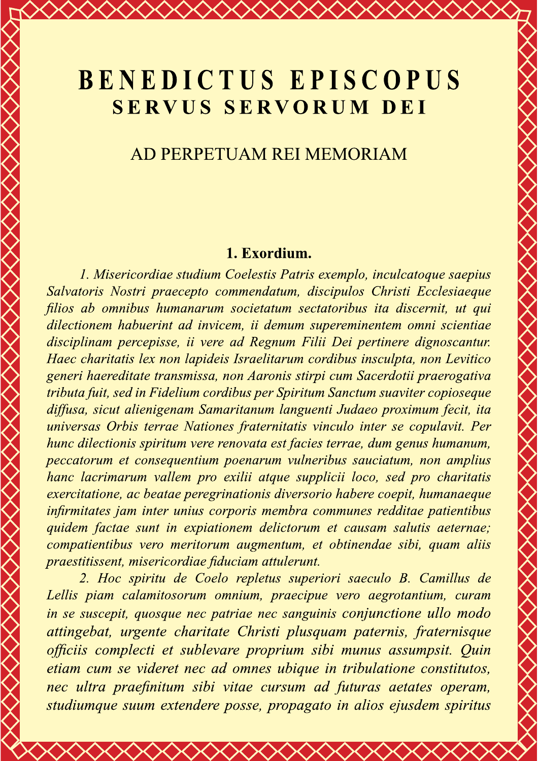# **BENEDICTUS EPISCOPUS SERVUS SERVORUM DEI**

 $\Diamond$ 

## AD PERPETUAM REI MEMORIAM

#### 1. Exordium.

1. Misericordiae studium Coelestis Patris exemplo, inculcatoque saepius Salvatoris Nostri praecepto commendatum, discipulos Christi Ecclesiaeque filios ab omnibus humanarum societatum sectatoribus ita discernit, ut qui dilectionem habuerint ad invicem, ii demum supereminentem omni scientiae disciplinam percepisse, ii vere ad Regnum Filii Dei pertinere dignoscantur. Haec charitatis lex non lapideis Israelitarum cordibus insculpta, non Levitico generi haereditate transmissa, non Aaronis stirpi cum Sacerdotii praerogativa tributa fuit, sed in Fidelium cordibus per Spiritum Sanctum suaviter copioseque diffusa, sicut alienigenam Samaritanum languenti Judaeo proximum fecit, ita universas Orbis terrae Nationes fraternitatis vinculo inter se copulavit. Per hunc dilectionis spiritum vere renovata est facies terrae, dum genus humanum, peccatorum et consequentium poenarum vulneribus sauciatum, non amplius hanc lacrimarum vallem pro exilii atque supplicii loco, sed pro charitatis exercitatione, ac beatae peregrinationis diversorio habere coepit, humanaeque infirmitates jam inter unius corporis membra communes redditae patientibus quidem factae sunt in expiationem delictorum et causam salutis aeternae; compatientibus vero meritorum augmentum, et obtinendae sibi, quam aliis praestitissent, misericordiae fiduciam attulerunt.

2. Hoc spiritu de Coelo repletus superiori saeculo B. Camillus de Lellis piam calamitosorum omnium, praecipue vero aegrotantium, curam in se suscepit, quosque nec patriae nec sanguinis conjunctione ullo modo attingebat, urgente charitate Christi plusquam paternis, fraternisque officiis complecti et sublevare proprium sibi munus assumpsit. Quin etiam cum se videret nec ad omnes ubique in tribulatione constitutos, nec ultra praefinitum sibi vitae cursum ad futuras aetates operam, studiumque suum extendere posse, propagato in alios ejusdem spiritus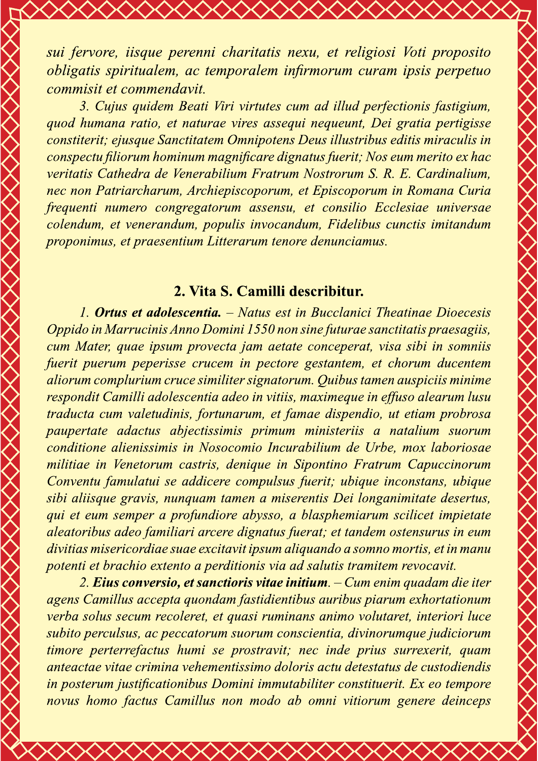sui fervore, iisque perenni charitatis nexu, et religiosi Voti proposito obligatis spiritualem, ac temporalem infirmorum curam ipsis perpetuo commisit et commendavit.

3. Cujus quidem Beati Viri virtutes cum ad illud perfectionis fastigium, quod humana ratio, et naturae vires assegui nequeunt, Dei gratia pertigisse constiterit; ejusque Sanctitatem Omnipotens Deus illustribus editis miraculis in conspectu filiorum hominum magnificare dignatus fuerit; Nos eum merito ex hac veritatis Cathedra de Venerabilium Fratrum Nostrorum S. R. E. Cardinalium, nec non Patriarcharum, Archiepiscoporum, et Episcoporum in Romana Curia frequenti numero congregatorum assensu, et consilio Ecclesiae universae colendum, et venerandum, populis invocandum, Fidelibus cunctis imitandum proponimus, et praesentium Litterarum tenore denunciamus.

#### 2. Vita S. Camilli describitur.

1. Ortus et adolescentia. – Natus est in Bucclanici Theatinae Dioecesis Oppido in Marrucinis Anno Domini 1550 non sine futurae sanctitatis praesagiis, cum Mater, quae ipsum provecta jam aetate conceperat, visa sibi in somniis fuerit puerum peperisse crucem in pectore gestantem, et chorum ducentem aliorum complurium cruce similiter signatorum. Quibus tamen auspiciis minime respondit Camilli adolescentia adeo in vitiis, maximeque in effuso alearum lusu traducta cum valetudinis, fortunarum, et famae dispendio, ut etiam probrosa paupertate adactus abjectissimis primum ministeriis a natalium suorum conditione alienissimis in Nosocomio Incurabilium de Urbe, mox laboriosae militiae in Venetorum castris, denique in Sipontino Fratrum Capuccinorum Conventu famulatui se addicere compulsus fuerit; ubique inconstans, ubique sibi aliisque gravis, nunquam tamen a miserentis Dei longanimitate desertus, qui et eum semper a profundiore abysso, a blasphemiarum scilicet impietate aleatoribus adeo familiari arcere dignatus fuerat; et tandem ostensurus in eum divitias misericordiae suae excitavit ipsum aliquando a somno mortis, et in manu potenti et brachio extento a perditionis via ad salutis tramitem revocavit.

2. Eius conversio, et sanctioris vitae initium. – Cum enim quadam die iter agens Camillus accepta quondam fastidientibus auribus piarum exhortationum verba solus secum recoleret, et quasi ruminans animo volutaret, interiori luce subito perculsus, ac peccatorum suorum conscientia, divinorumque judiciorum timore perterrefactus humi se prostravit; nec inde prius surrexerit, quam anteactae vitae crimina vehementissimo doloris actu detestatus de custodiendis in posterum justificationibus Domini immutabiliter constituerit. Ex eo tempore novus homo factus Camillus non modo ab omni vitiorum genere deinceps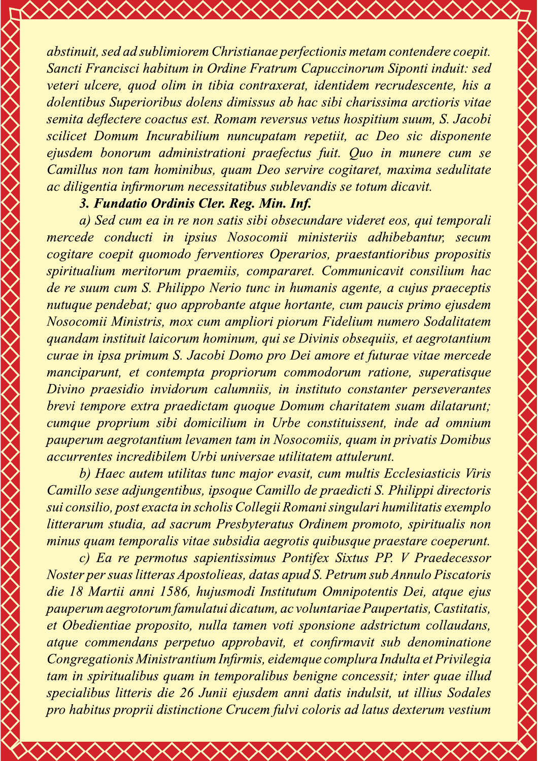abstinuit, sed ad sublimiorem Christianae perfectionis metam contendere coepit. Sancti Francisci habitum in Ordine Fratrum Capuccinorum Siponti induit: sed veteri ulcere, quod olim in tibia contraxerat, identidem recrudescente, his a dolentibus Superioribus dolens dimissus ab hac sibi charissima arctioris vitae semita deflectere coactus est. Romam reversus vetus hospitium suum, S. Jacobi scilicet Domum Incurabilium nuncupatam repetiit, ac Deo sic disponente ejusdem bonorum administrationi praefectus fuit. Quo in munere cum se Camillus non tam hominibus, quam Deo servire cogitaret, maxima sedulitate ac diligentia infirmorum necessitatibus sublevandis se totum dic

Sancti Francisci habitum in Oraine Francum Capuccinorum Siponii in<br>veteri ulcere, quod olim in tibia contraxerat, identidem recrudescen<br>delinibus Superioribus dolens dimissus ab hac sibi charissima arctic<br>senita deflectere cum ea in re non satis sibi obsecundare videret eos, qui temporali mercede conducti in ipsius Nosocomii ministeriis adhibebantur, secum cogitare coepit quomodo ferventiores Operarios, praestantioribus propositis spiritualium meritorum praemiis, compararet. Communicavit consilium hac de re suum cum S. Philippo Nerio tunc in humanis agente, a cujus praeceptis nutuque pendebat; quo approbante atque hortante, cum paucis primo ejusdem Nosocomii Ministris, mox cum ampliori piorum Fidelium numero Sodalitatem quandam instituit laicorum hominum, qui se Divinis obsequiis, et aegrotantium  $\hspace{0.25cm}$ curae in ipsa primum S. Jacobi Domo pro Dei amore et futurae vitae mercede manciparunt, et contempta propriorum commodorum ratione, superatisque Divino praesidio invidorum calumniis, in instituto constanter perseverantes brevi tempore extra praedictam quoque Domum charitatem suam dilatarunt; cumque proprium sibi domicilium in Urbe constituissent, inde ad omnium pauperum aegrotantium levamen tam in Nosocomiis, quam in privatis Domibus  $\,$ accurrentes incredibilem Urbi universae utilitatem attulerunt.

b) Haec autem utilitas tunc major evasit, cum multis Ecclesiasticis Viris Camillo sese adjungentibus, ipsoque Camillo de praedicti S. Philippi directoris sui consilio, post exacta in scholis Collegii Romani singulari humilitatis exemplo litterarum studia, ad sacrum Presbyteratus Ordinem promoto, spiritualis non minus quam temporalis vitae subsidia aegrotis quibusque praestare coeperunt.

c) Ea re permotus sapientissimus Pontifex Sixtus PP. V Praedecessor Noster per suas lítteras Apostolíeas, datas apud S. Petrum sub Annulo Piscatorís die 18 Martii anni 1586, hujusmodi Institutum Omnipotentis Dei, atque ejus pauperum aegrotorum famulatui dicatum, ac voluntariae Paupertatis, Castitatis,  $\;$ et Obedientiae proposito, nulla tamen voti sponsione adstrictum collaudans, atque commendans perpetuo approbavit, et confirmavit sub denominatione  $\hspace{0.25cm}$ Congregationis Ministrantium Infirmis, eidemque complura Indulta et Privilegia tam in spiritualibus quam in temporalibus benigne concessit; inter quae illud specialibus litteris die 26 Junii ejusdem anni datis indulsit, ut illius Sodales pro habitus proprii distinctione Crucem fulvi coloris ad latus dexterum vestium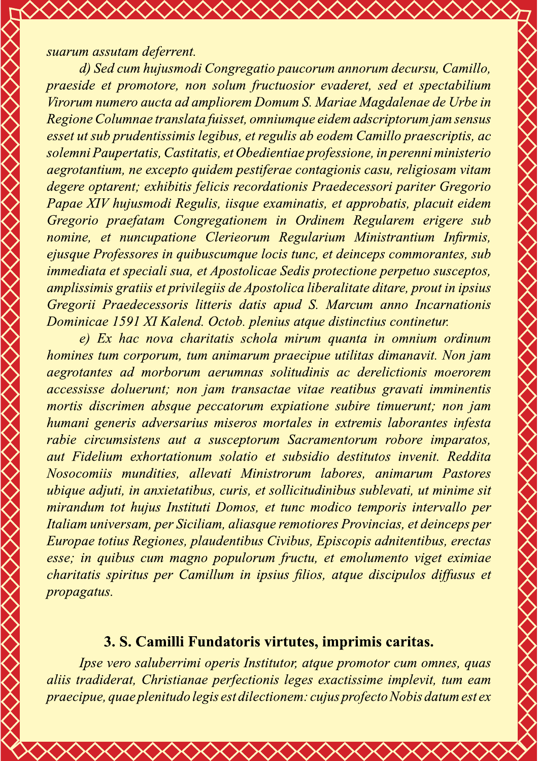#### suarum assutam deferrent.

d) Sed cum hujusmodi Congregatio paucorum annorum decursu, Camillo, praeside et promotore, non solum fructuosior evaderet, sed et spectabilium Virorum numero aucta ad ampliorem Domum S. Mariae Magdalenae de Urbe in Regione Columnae translata fuisset, omniumque eidem adscriptorum jam sensus esset ut sub prudentissimis legibus, et regulis ab eodem Camillo praescriptis, ac solemni Paupertatis, Castitatis, et Obedientiae professione, in perenni ministerio aegrotantium, ne excepto quidem pestiferae contagionis casu, religiosam vitam degere optarent; exhibitis felicis recordationis Praedecessori pariter Gregorio Papae XIV hujusmodi Regulis, iisque examinatis, et approbatis, placuit eidem Gregorio praefatam Congregationem in Ordinem Regularem erigere sub nomine, et nuncupatione Clerieorum Regularium Ministrantium Infirmis, ejusque Professores in quibuscumque locis tunc, et deinceps commorantes, sub *immediata et speciali sua, et Apostolicae Sedis protectione perpetuo susceptos,* amplissimis gratiis et privilegiis de Apostolica liberalitate ditare, prout in ipsius Gregorii Praedecessoris litteris datis apud S. Marcum anno Incarnationis Dominicae 1591 XI Kalend. Octob. plenius atque distinctius continetur.

e) Ex hac nova charitatis schola mirum quanta in omnium ordinum homines tum corporum, tum animarum praecipue utilitas dimanavit. Non jam aegrotantes ad morborum aerumnas solitudinis ac derelictionis moerorem accessisse doluerunt; non jam transactae vitae reatibus gravati imminentis mortis discrimen absque peccatorum expiatione subire timuerunt; non jam humani generis adversarius miseros mortales in extremis laborantes infesta rabie circumsistens aut a susceptorum Sacramentorum robore imparatos, aut Fidelium exhortationum solatio et subsidio destitutos invenit. Reddita Nosocomiis mundities, allevati Ministrorum labores, animarum Pastores ubique adjuti, in anxietatibus, curis, et sollicitudinibus sublevati, ut minime sit mirandum tot hujus Instituti Domos, et tunc modico temporis intervallo per Italiam universam, per Siciliam, aliasque remotiores Provincias, et deinceps per Europae totius Regiones, plaudentibus Civibus, Episcopis adnitentibus, erectas esse; in quibus cum magno populorum fructu, et emolumento viget eximiae charitatis spiritus per Camillum in ipsius filios, atque discipulos diffusus et propagatus.

### 3. S. Camilli Fundatoris virtutes, imprimis caritas.

Ipse vero saluberrimi operis Institutor, atque promotor cum omnes, quas aliis tradiderat, Christianae perfectionis leges exactissime implevit, tum eam praecipue, quae plenitudo legis est dilectionem: cujus profecto Nobis datum est ex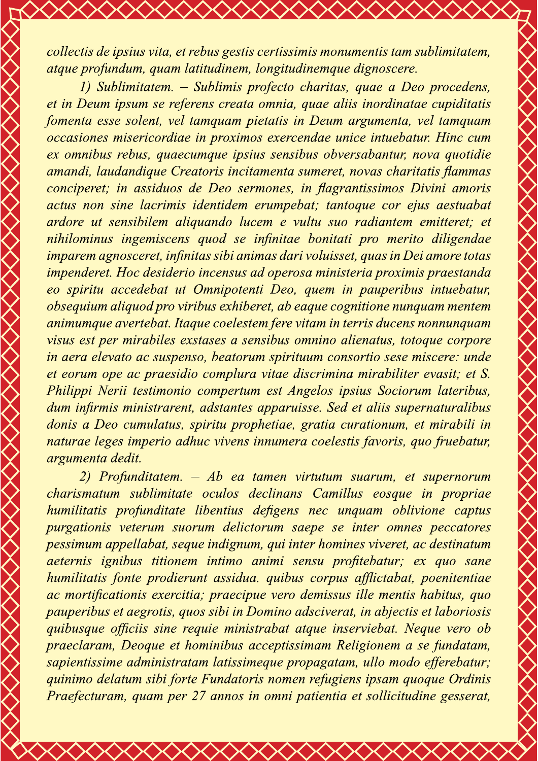collectis de ipsius vita, et rebus gestis certissimis monumentis tam sublimitatem, atque profundum, quam latitudinem, longitudinemque dignoscere.

1) Sublimitatem. – Sublimis profecto charitas, quae a Deo procedens, et in Deum ipsum se referens creata omnia, quae aliis inordinatae cupiditatis fomenta esse solent, vel tamquam pietatis in Deum argumenta, vel tamquam occasiones misericordiae in proximos exercendae unice intuebatur. Hinc cum ex omnibus rebus, quaecumque ipsius sensibus obversabantur, nova quotidie amandi, laudandique Creatoris incitamenta sumeret, novas charitatis flammas conciperet; in assiduos de Deo sermones, in flagrantissimos Divini amoris actus non sine lacrimis identidem erumpebat; tantoque cor ejus aestuabat ardore ut sensibilem aliquando lucem e vultu suo radiantem emitteret; et nihilominus ingemiscens quod se infinitae bonitati pro merito diligendae imparem agnosceret, infinitas sibi animas dari voluisset, quas in Dei amore totas impenderet. Hoc desiderio incensus ad operosa ministeria proximis praestanda eo spiritu accedebat ut Omnipotenti Deo, quem in pauperibus intuebatur, obsequium aliquod pro viribus exhiberet, ab eaque cognitione nunquam mentem animumque avertebat. Itaque coelestem fere vitam in terris ducens nonnunquam visus est per mirabiles exstases a sensibus omnino alienatus, totoque corpore in aera elevato ac suspenso, beatorum spirituum consortio sese miscere: unde et eorum ope ac praesidio complura vitae discrimina mirabiliter evasit; et S. Philippi Nerii testimonio compertum est Angelos ipsius Sociorum lateribus, dum infirmis ministrarent, adstantes apparuisse. Sed et aliis supernaturalibus donis a Deo cumulatus, spiritu prophetiae, gratia curationum, et mirabili in naturae leges imperio adhuc vivens innumera coelestis favoris, quo fruebatur, *argumenta dedit.* 

2) Profunditatem. – Ab ea tamen virtutum suarum, et supernorum charismatum sublimitate oculos declinans Camillus eosque in propriae humilitatis profunditate libentius defigens nec unquam oblivione captus purgationis veterum suorum delictorum saepe se inter omnes peccatores pessimum appellabat, seque indignum, qui inter homines viveret, ac destinatum aeternis ignibus titionem intimo animi sensu profitebatur; ex quo sane humilitatis fonte prodierunt assidua, quibus corpus afflictabat, poenitentiae ac mortificationis exercitia; praecipue vero demissus ille mentis habitus, quo pauperibus et aegrotis, quos sibi in Domino adsciverat, in abjectis et laboriosis quibusque officiis sine requie ministrabat atque inserviebat. Neque vero ob praeclaram, Deoque et hominibus acceptissimam Religionem a se fundatam, sapientissime administratam latissimeque propagatam, ullo modo efferebatur; guinimo delatum sibi forte Fundatoris nomen refugiens ipsam quoque Ordinis Praefecturam, quam per 27 annos in omni patientia et sollicitudine gesserat,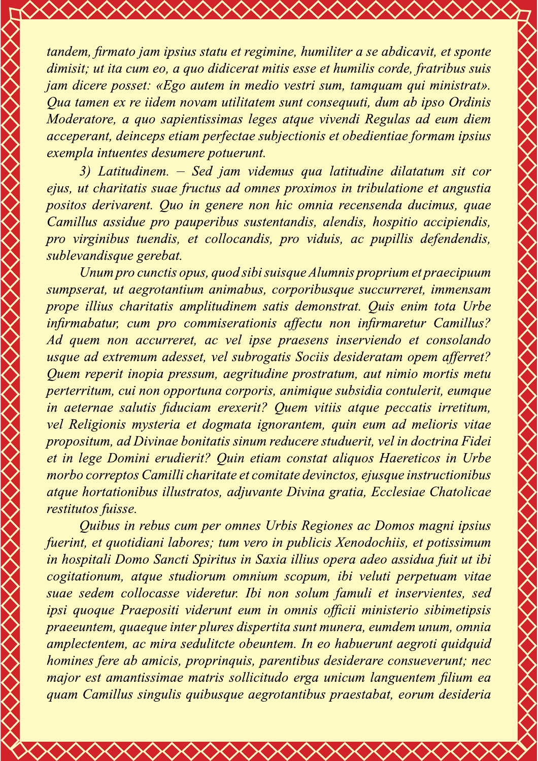tandem, firmato jam ipsius statu et regimine, humiliter a se abdicavit, et sponte dimisit; ut ita cum eo, a quo didicerat mitis esse et humilis corde, fratribus suis jam dicere posset: «Ego autem in medio vestri sum, tamquam qui ministrat». Qua tamen ex re iidem novam utilitatem sunt consequuti, dum ab ipso Ordinis Moderatore, a quo sapientissimas leges atque vivendi Regulas ad eum diem acceperant, deinceps etiam perfectae subjectionis et obedientiae formam ipsius exempla intuentes desumere potuerunt.

3) Latitudinem. – Sed jam videmus qua latitudine dilatatum sit cor ejus, ut charitatis suae fructus ad omnes proximos in tribulatione et angustia positos derivarent. Quo in genere non hic omnia recensenda ducimus, quae Camillus assidue pro pauperibus sustentandis, alendis, hospitio accipiendis, pro virginibus tuendis, et collocandis, pro viduis, ac pupillis defendendis, sublevandisque gerebat.

Unum pro cunctis opus, quod sibi suisque Alumnis proprium et praecipuum sumpserat, ut aegrotantium animabus, corporibusque succurreret, immensam prope illius charitatis amplitudinem satis demonstrat. Quis enim tota Urbe infirmabatur, cum pro commiserationis affectu non infirmaretur Camillus? Ad quem non accurreret, ac vel ipse praesens inserviendo et consolando usque ad extremum adesset, vel subrogatis Sociis desideratam opem afferret? Quem reperit inopia pressum, aegritudine prostratum, aut nimio mortis metu perterritum, cui non opportuna corporis, animique subsidia contulerit, eumque in aeternae salutis fiduciam erexerit? Quem vitiis atque peccatis irretitum, vel Religionis mysteria et dogmata ignorantem, quin eum ad melioris vitae propositum, ad Divinae bonitatis sinum reducere studuerit, vel in doctrina Fidei et in lege Domini erudierit? Quin etiam constat aliquos Haereticos in Urbe morbo correptos Camilli charitate et comitate devinctos, ejusque instructionibus atque hortationibus illustratos, adjuvante Divina gratia, Ecclesiae Chatolicae restitutos fuisse.

Quibus in rebus cum per omnes Urbis Regiones ac Domos magni ipsius fuerint, et quotidiani labores; tum vero in publicis Xenodochiis, et potissimum in hospitali Domo Sancti Spiritus in Saxia illius opera adeo assidua fuit ut ibi cogitationum, atque studiorum omnium scopum, ibi veluti perpetuam vitae suae sedem collocasse videretur. Ibi non solum famuli et inservientes, sed ipsi quoque Praepositi viderunt eum in omnis officii ministerio sibimetipsis praeeuntem, quaeque inter plures dispertita sunt munera, eumdem unum, omnia amplectentem, ac mira sedulitete obeuntem. In eo habuerunt aegroti quidquid homines fere ab amicis, propringuis, parentibus desiderare consueverunt; nec major est amantissimae matris sollicitudo erga unicum languentem filium ea quam Camillus singulis quibusque aegrotantibus praestabat, eorum desideria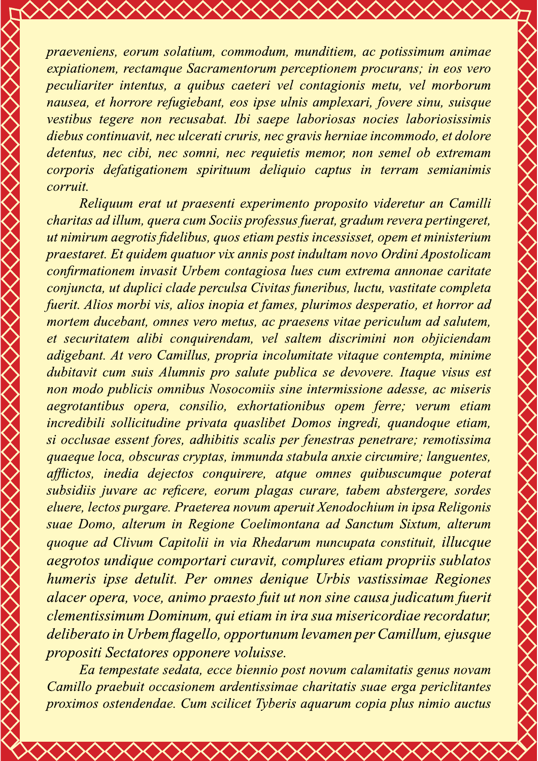praeveniens, eorum solatium, commodum, munditiem, ac potissimum animae expiationem, rectamque Sacramentorum perceptionem procurans; in eos vero peculiariter intentus, a quibus caeteri vel contagionis metu, vel morborum nausea, et horrore refugiebant, eos ipse ulnis amplexari, fovere sinu, suisque vestibus tegere non recusabat. Ibi saepe laboriosas nocies laboriosissimis diebus continuavit, nec ulcerati cruris, nec gravis herniae incommodo, et dolore detentus, nec cibi, nec somni, nec requietis memor, non semel ob extremam corporis defatigationem spirituum deliquio captus in terram semianimis corruit.

Religuum erat ut praesenti experimento proposito videretur an Camilli charitas ad illum, quera cum Sociis professus fuerat, gradum revera pertingeret, ut nimirum aegrotis fidelibus, quos etiam pestis incessisset, opem et ministerium praestaret. Et quidem quatuor vix annis post indultam novo Ordini Apostolicam confirmationem invasit Urbem contagiosa lues cum extrema annonae caritate conjuncta, ut duplici clade perculsa Civitas funeribus, luctu, vastitate completa fuerit. Alios morbi vis, alios inopia et fames, plurimos desperatio, et horror ad mortem ducebant, omnes vero metus, ac praesens vitae periculum ad salutem, et securitatem alibi conquirendam, vel saltem discrimini non objiciendam adigebant. At vero Camillus, propria incolumitate vitaque contempta, minime dubitavit cum suis Alumnis pro salute publica se devovere. Itaque visus est non modo publicis omnibus Nosocomiis sine intermissione adesse, ac miseris aegrotantibus opera, consilio, exhortationibus opem ferre; verum etiam incredibili sollicitudine privata quaslibet Domos ingredi, quandoque etiam, si occlusae essent fores, adhibitis scalis per fenestras penetrare; remotissima quaeque loca, obscuras cryptas, immunda stabula anxie circumire; languentes, afflictos, inedia dejectos conquirere, atque omnes quibuscumque poterat subsidiis juvare ac reficere, eorum plagas curare, tabem abstergere, sordes eluere, lectos purgare. Praeterea novum aperuit Xenodochium in ipsa Religonis suae Domo, alterum in Regione Coelimontana ad Sanctum Sixtum, alterum quoque ad Clivum Capitolii in via Rhedarum nuncupata constituit, illucque aegrotos undique comportari curavit, complures etiam propriis sublatos humeris ipse detulit. Per omnes denique Urbis vastissimae Regiones alacer opera, voce, animo praesto fuit ut non sine causa judicatum fuerit clementissimum Dominum, qui etiam in ira sua misericordiae recordatur, deliberato in Urbem flagello, opportunum levamen per Camillum, ejusque propositi Sectatores opponere voluisse.

Ea tempestate sedata, ecce biennio post novum calamitatis genus novam Camillo praebuit occasionem ardentissimae charitatis suae erga periclitantes proximos ostendendae. Cum scilicet Tyberis aquarum copia plus nimio auctus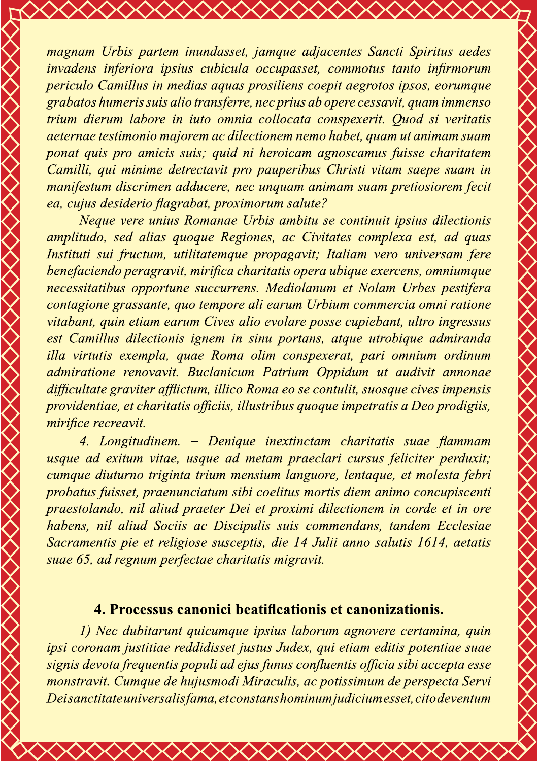magnam Urbis partem inundasset, jamque adjacentes Sancti Spiritus aedes invadens inferiora ipsius cubicula occupasset, commotus tanto infirmorum periculo Camillus in medias aguas prosiliens coepit aegrotos ipsos, eorumque grabatos humeris suis alio transferre, nec prius ab opere cessavit, quam immenso trium dierum labore in iuto omnia collocata conspexerit. Quod si veritatis aeternae testimonio majorem ac dilectionem nemo habet, quam ut animam suam ponat quis pro amicis suis; quid ni heroicam agnoscamus fuisse charitatem Camilli, qui minime detrectavit pro pauperibus Christi vitam saepe suam in manifestum discrimen adducere, nec unguam animam suam pretiosiorem fecit ea, cujus desiderio flagrabat, proximorum salute?

Neque vere unius Romanae Urbis ambitu se continuit ipsius dilectionis amplitudo, sed alias quoque Regiones, ac Civitates complexa est, ad quas Instituti sui fructum, utilitatemque propagavit; Italiam vero universam fere benefaciendo peragravit, mirifica charitatis opera ubique exercens, omniumque necessitatibus opportune succurrens. Mediolanum et Nolam Urbes pestifera contagione grassante, quo tempore ali earum Urbium commercia omni ratione vitabant, quin etiam earum Cives alio evolare posse cupiebant, ultro ingressus est Camillus dilectionis ignem in sinu portans, atque utrobique admiranda illa virtutis exempla, quae Roma olim conspexerat, pari omnium ordinum admiratione renovavit. Buclanicum Patrium Oppidum ut audivit annonae difficultate graviter afflictum, illico Roma eo se contulit, suosque cives impensis providentiae, et charitatis officiis, illustribus quoque impetratis a Deo prodigiis, mirifice recreavit.

4. Longitudinem. – Denique inextinctam charitatis suae flammam usque ad exitum vitae, usque ad metam praeclari cursus feliciter perduxit; cumque diuturno triginta trium mensium languore, lentaque, et molesta febri probatus fuisset, praenunciatum sibi coelitus mortis diem animo concupiscenti praestolando, nil aliud praeter Dei et proximi dilectionem in corde et in ore habens, nil aliud Sociis ac Discipulis suis commendans, tandem Ecclesiae Sacramentis pie et religiose susceptis, die 14 Julii anno salutis 1614, aetatis suae 65, ad regnum perfectae charitatis migravit.

### 4. Processus canonici beatificationis et canonizationis.

1) Nec dubitarunt quicumque ipsius laborum agnovere certamina, quin ipsi coronam justitiae reddidisset justus Judex, qui etiam editis potentiae suae signis devota frequentis populi ad ejus funus confluentis officia sibi accepta esse monstravit. Cumque de hujusmodi Miraculis, ac potissimum de perspecta Servi Deisanctitate universalis fama, et constans hominum judicium esset, cito deventum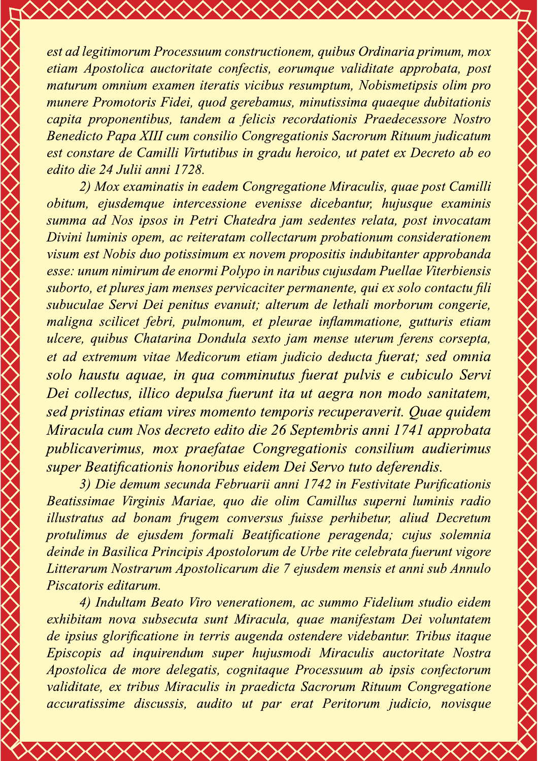est ad legitimorum Processuum constructionem, quibus Ordinaria primum, mox etiam Apostolica auctoritate confectis, eorumque validitate approbata, post maturum omnium examen iteratis vicibus resumptum, Nobismetipsis olim pro munere Promotoris Fidei, quod gerebamus, minutissima quaeque dubitationis capita proponentibus, tandem a felicis recordationis Praedecessore Nostro Benedicto Papa XIII cum consilio Congregationis Sacrorum Rituum judicatum est constare de Camilli Virtutibus in gradu heroico, ut patet ex Decreto ab eo edito die 24 Julii anni 1728.

2) Mox examinatis in eadem Congregatione Miraculis, quae post Camilli obitum, ejusdemque intercessione evenisse dicebantur, hujusque examinis summa ad Nos ipsos in Petri Chatedra jam sedentes relata, post invocatam Divini luminis opem, ac reiteratam collectarum probationum considerationem visum est Nobis duo potissimum ex novem propositis indubitanter approbanda esse: unum nimirum de enormi Polypo in naribus cujusdam Puellae Viterbiensis suborto, et plures jam menses pervicaciter permanente, qui ex solo contactu fili subuculae Servi Dei penitus evanuit; alterum de lethali morborum congerie, maligna scilicet febri, pulmonum, et pleurae inflammatione, gutturis etiam ulcere, quibus Chatarina Dondula sexto jam mense uterum ferens corsepta, et ad extremum vitae Medicorum etiam judicio deducta fuerat; sed omnia solo haustu aquae, in qua comminutus fuerat pulvis e cubiculo Servi Dei collectus, illico depulsa fuerunt ita ut aegra non modo sanitatem, sed pristinas etiam vires momento temporis recuperaverit. Quae quidem Miracula cum Nos decreto edito die 26 Septembris anni 1741 approbata publicaverimus, mox praefatae Congregationis consilium audierimus super Beatificationis honoribus eidem Dei Servo tuto deferendis.

3) Die demum secunda Februarii anni 1742 in Festivitate Purificationis Beatissimae Virginis Mariae, quo die olim Camillus superni luminis radio illustratus ad bonam frugem conversus fuisse perhibetur, aliud Decretum protulimus de ejusdem formali Beatificatione peragenda; cujus solemnia deinde in Basilica Principis Apostolorum de Urbe rite celebrata fuerunt vigore Litterarum Nostrarum Apostolicarum die 7 ejusdem mensis et anni sub Annulo Piscatoris editarum.

4) Indultam Beato Viro venerationem, ac summo Fidelium studio eidem exhibitam nova subsecuta sunt Miracula, quae manifestam Dei voluntatem de ipsius glorificatione in terris augenda ostendere videbantur. Tribus itaque Episcopis ad inquirendum super hujusmodi Miraculis auctoritate Nostra Apostolica de more delegatis, cognitaque Processuum ab ipsis confectorum validitate, ex tribus Miraculis in praedicta Sacrorum Rituum Congregatione accuratissime discussis, audito ut par erat Peritorum judicio, novisque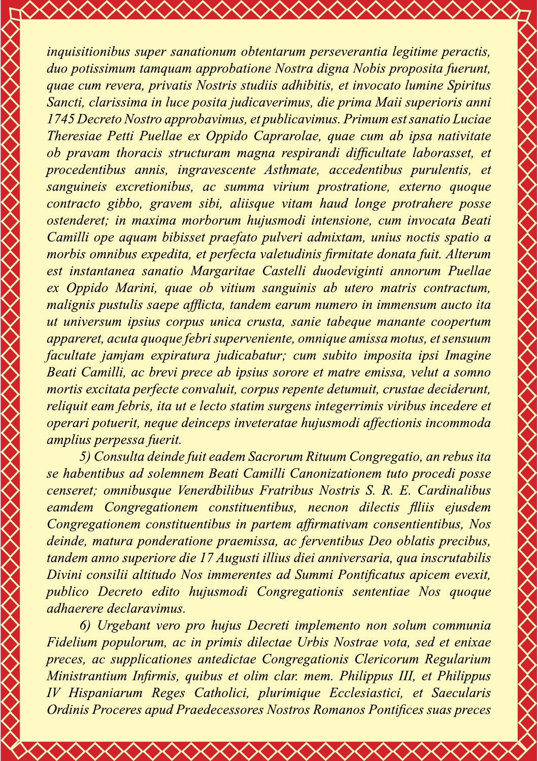inquisitionibus super sanationum obtentarum perseverantia legitime peractis, duo potissimum tamquam approbatione Nostra digna Nobis proposita fuerunt, quae cum revera, privatis Nostris studiis adhibitis, et invocato lumine Spiritus Sancti, clarissima in luce posita judicaverimus, die prima Maii superioris anni 1745 Decreto Nostro approbavimus, et publicavimus. Primum est sanatio Luciae Theresiae Petti Puellae ex Oppido Caprarolae, quae cum ab ipsa nativitate ob pravam thoracis structuram magna respirandi difficultate laborasset, et procedentibus annis, ingravescente Asthmate, accedentibus purulentis, et sanguineis excretionibus, ac summa virium prostratione, externo quoque contracto gibbo, gravem sibi, aliisque vitam haud longe protrahere posse ostenderet; in maxima morborum hujusmodi intensione, cum invocata Beati Camilli ope aquam bibisset praefato pulveri admixtam, unius noctis spatio a morbis omnibus expedita, et perfecta valetudinis firmitate donata fuit. Alterum est instantanea sanatio Margaritae Castelli duodeviginti annorum Puellae ex Oppido Marini, quae ob vitium sanguinis ab utero matris contractum, malignis pustulis saepe afflicta, tandem earum numero in immensum aucto ita ut universum ipsius corpus unica crusta, sanie tabeque manante coopertum appareret, acuta quoque febri superveniente, omnique amissa motus, et sensuum facultate jamjam expiratura judicabatur; cum subito imposita ipsi Imagine Beati Camilli, ac brevi prece ab ipsius sorore et matre emissa, velut a somno mortis excitata perfecte convaluit, corpus repente detumuit, crustae deciderunt, reliquit eam febris, ita ut e lecto statim surgens integerrimis viribus incedere et operari potuerit, neque deinceps inveteratae hujusmodi affectionis incommoda amplius perpessa fuerit.

5) Consulta deinde fuit eadem Sacrorum Rituum Congregatio, an rebus ita se habentibus ad solemnem Beati Camilli Canonizationem tuto procedi posse censeret; omnibusque Venerdbilibus Fratribus Nostris S. R. E. Cardinalibus eamdem Congregationem constituentibus, necnon dilectis flliis ejusdem Congregationem constituentibus in partem affirmativam consentientibus, Nos deinde, matura ponderatione praemissa, ac ferventibus Deo oblatis precibus, tandem anno superiore die 17 Augusti illius diei anniversaria, qua inscrutabilis Divini consilii altitudo Nos immerentes ad Summi Pontificatus apicem evexit, publico Decreto edito hujusmodi Congregationis sententiae Nos quoque *adhaerere declaravimus.* 

6) Urgebant vero pro hujus Decreti implemento non solum communia Fidelium populorum, ac in primis dilectae Urbis Nostrae vota, sed et enixae preces, ac supplicationes antedictae Congregationis Clericorum Regularium Ministrantium Infirmis, quibus et olim clar. mem. Philippus III, et Philippus IV Hispaniarum Reges Catholici, plurimique Ecclesiastici, et Saecularis Ordinis Proceres apud Praedecessores Nostros Romanos Pontifices suas preces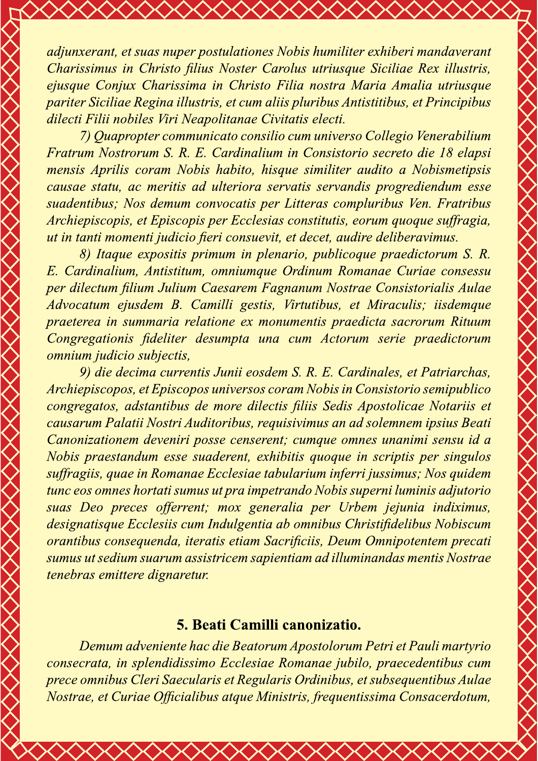adjunxerant, et suas nuper postulationes Nobis humiliter exhiberi mandaverant Charissimus in Christo filius Noster Carolus utriusque Siciliae Rex illustris, ejusque Conjux Charissima in Christo Filia nostra Maria Amalia utriusque pariter Siciliae Regina illustris, et cum aliis pluribus Antistitibus, et Principibus dilecti Filii nobiles Viri Neapolitanae Civitatis electi.

<u>XXXXXXXX</u>

7) Quapropter communicato consilio cum universo Collegio Venerabilium Fratrum Nostrorum S. R. E. Cardinalium in Consistorio secreto die 18 elapsi mensis Aprilis coram Nobis habito, hisque similiter audito a Nobismetipsis causae statu, ac meritis ad ulteriora servatis servandis progrediendum esse suadentibus; Nos demum convocatis per Litteras compluribus Ven. Fratribus Archiepiscopis, et Episcopis per Ecclesias constitutis, eorum quoque suffragia, ut in tanti momenti judicio fieri consuevit, et decet, audire deliberavimus.

8) Itaque expositis primum in plenario, publicoque praedictorum S. R. E. Cardinalium, Antistitum, omniumque Ordinum Romanae Curiae consessu per dilectum filium Julium Caesarem Fagnanum Nostrae Consistorialis Aulae Advocatum ejusdem B. Camilli gestis, Virtutibus, et Miraculis; iisdemque praeterea in summaria relatione ex monumentis praedicta sacrorum Rituum Congregationis fideliter desumpta una cum Actorum serie praedictorum omnium judicio subjectis,

9) die decima currentis Junii eosdem S. R. E. Cardinales, et Patriarchas, Archiepiscopos, et Episcopos universos coram Nobis in Consistorio semipublico congregatos, adstantibus de more dilectis filiis Sedis Apostolicae Notariis et causarum Palatii Nostri Auditoribus, requisivimus an ad solemnem ipsius Beati Canonizationem deveniri posse censerent; cumque omnes unanimi sensu id a Nobis praestandum esse suaderent, exhibitis quoque in scriptis per singulos suffragiis, quae in Romanae Ecclesiae tabularium inferri jussimus; Nos quidem tunc eos omnes hortati sumus ut pra impetrando Nobis superni luminis adjutorio suas Deo preces offerrent; mox generalia per Urbem jejunia indiximus, designatisque Ecclesiis cum Indulgentia ab omnibus Christifidelibus Nobiscum orantibus consequenda, iteratis etiam Sacrificiis, Deum Omnipotentem precati sumus ut sedium suarum assistricem sapientiam ad illuminandas mentis Nostrae tenebras emittere dignaretur.

### 5. Beati Camilli canonizatio.

Demum adveniente hac die Beatorum Apostolorum Petri et Pauli martyrio consecrata, in splendidissimo Ecclesiae Romanae jubilo, praecedentibus cum prece omnibus Cleri Saecularis et Regularis Ordinibus, et subsequentibus Aulae Nostrae, et Curiae Officialibus atque Ministris, frequentissima Consacerdotum,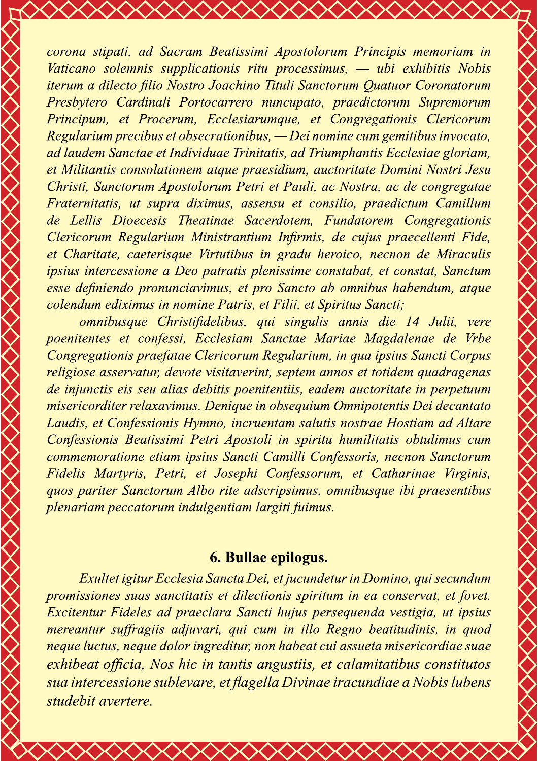corona stipati, ad Sacram Beatissimi Apostolorum Principis memoriam in Vaticano solemnis supplicationis ritu processimus, — ubi exhibitis Nobis iterum a dilecto filio Nostro Joachino Tituli Sanctorum Quatuor Coronatorum Presbytero Cardinali Portocarrero nuncupato, praedictorum Supremorum Principum, et Procerum, Ecclesiarumque, et Congregationis Clericorum Regularium precibus et obsecrationibus, — Dei nomine cum gemitibus invocato, ad laudem Sanctae et Individuae Trinitatis, ad Triumphantis Ecclesiae gloriam, et Militantis consolationem atque praesidium, auctoritate Domini Nostri Jesu Christi, Sanctorum Apostolorum Petri et Pauli, ac Nostra, ac de congregatae Fraternitatis, ut supra diximus, assensu et consilio, praedictum Camillum de Lellis Dioecesis Theatinae Sacerdotem, Fundatorem Congregationis Clericorum Regularium Ministrantium Infirmis, de cujus praecellenti Fide, et Charitate, caeterisque Virtutibus in gradu heroico, necnon de Miraculis ipsius intercessione a Deo patratis plenissime constabat, et constat, Sanctum esse definiendo pronunciavimus, et pro Sancto ab omnibus habendum, atque colendum ediximus in nomine Patris, et Filii, et Spiritus Sancti;

<u> XXXXXXXX</u>

omnibusque Christifidelibus, qui singulis annis die 14 Julii, vere poenitentes et confessi, Ecclesiam Sanctae Mariae Magdalenae de Vrbe Congregationis praefatae Clericorum Regularium, in qua ipsius Sancti Corpus religiose asservatur, devote visitaverint, septem annos et totidem quadragenas de injunctis eis seu alias debitis poenitentiis, eadem auctoritate in perpetuum misericorditer relaxavimus. Denique in obsequium Omnipotentis Dei decantato Laudis, et Confessionis Hymno, incruentam salutis nostrae Hostiam ad Altare Confessionis Beatissimi Petri Apostoli in spiritu humilitatis obtulimus cum commemoratione etiam ipsius Sancti Camilli Confessoris, necnon Sanctorum Fidelis Martyris, Petri, et Josephi Confessorum, et Catharinae Virginis, quos pariter Sanctorum Albo rite adscripsimus, omnibusque ibi praesentibus plenariam peccatorum indulgentiam largiti fuimus.

### 6. Bullae epilogus.

Exultet igitur Ecclesia Sancta Dei, et jucundetur in Domino, qui secundum promissiones suas sanctitatis et dilectionis spiritum in ea conservat, et fovet. Excitentur Fideles ad praeclara Sancti hujus persequenda vestigia, ut ipsius mereantur suffragiis adjuvari, qui cum in illo Regno beatitudinis, in quod neque luctus, neque dolor ingreditur, non habeat cui assueta misericordiae suae exhibeat officia, Nos hic in tantis angustiis, et calamitatibus constitutos sua intercessione sublevare, et flagella Divinae iracundiae a Nobis lubens studebit avertere.